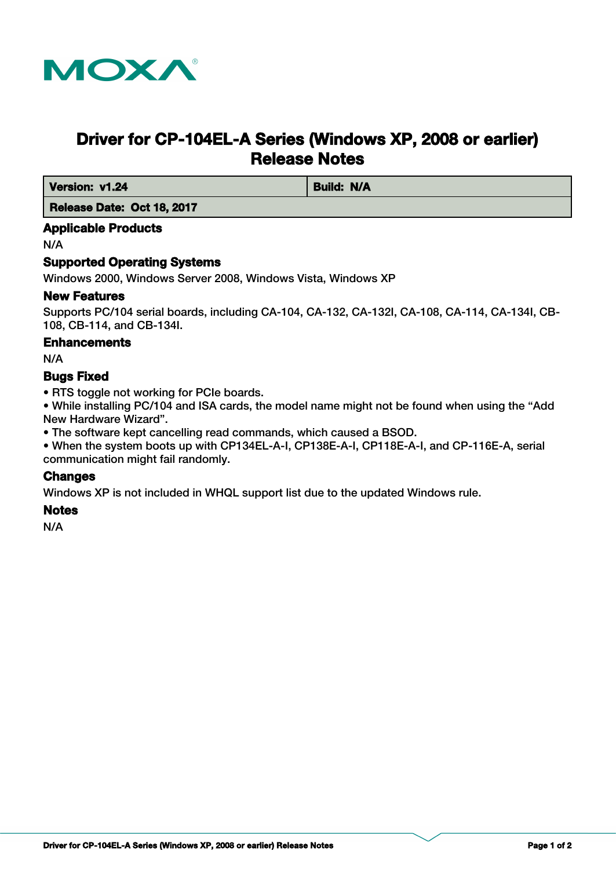

# **Driver for CP-104EL-A Series (Windows XP, 2008 or earlier) Release Notes**

*Version: v1.24* **Build: N/A** 

 **Release Date: Oct 18, 2017**

# **Applicable Products**

N/A

# **Supported Operating Systems**

Windows 2000, Windows Server 2008, Windows Vista, Windows XP

#### **New Features**

Supports PC/104 serial boards, including CA-104, CA-132, CA-132I, CA-108, CA-114, CA-134I, CB-108, CB-114, and CB-134I.

#### **Enhancements**

N/A

# **Bugs Fixed**

• RTS toggle not working for PCIe boards.

• While installing PC/104 and ISA cards, the model name might not be found when using the "Add New Hardware Wizard".

• The software kept cancelling read commands, which caused a BSOD.

• When the system boots up with CP134EL-A-I, CP138E-A-I, CP118E-A-I, and CP-116E-A, serial communication might fail randomly.

# **Changes**

Windows XP is not included in WHQL support list due to the updated Windows rule.

#### **Notes**

N/A